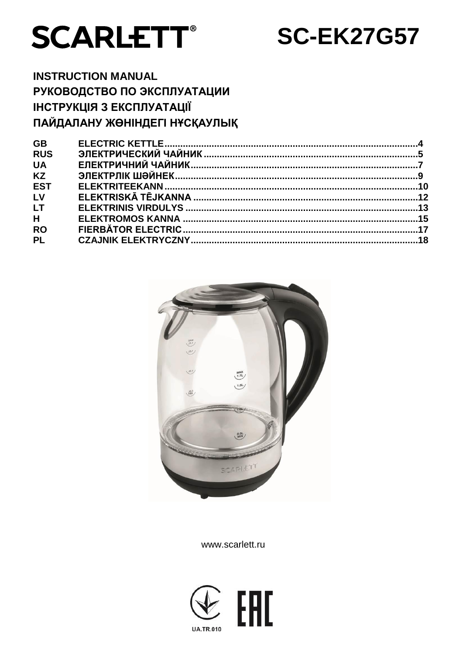



# **INSTRUCTION MANUAL** РУКОВОДСТВО ПО ЭКСПЛУАТАЦИИ ІНСТРУКЦІЯ З ЕКСПЛУАТАЦІЇ ПАЙДАЛАНУ ЖӨНІНДЕГІ НҰСҚАУЛЫҚ

| <b>GB</b>  |  |
|------------|--|
| <b>RUS</b> |  |
| <b>UA</b>  |  |
| <b>KZ</b>  |  |
| <b>EST</b> |  |
| LV         |  |
| <b>LT</b>  |  |
| H          |  |
| <b>RO</b>  |  |
| <b>PL</b>  |  |
|            |  |



www.scarlett.ru

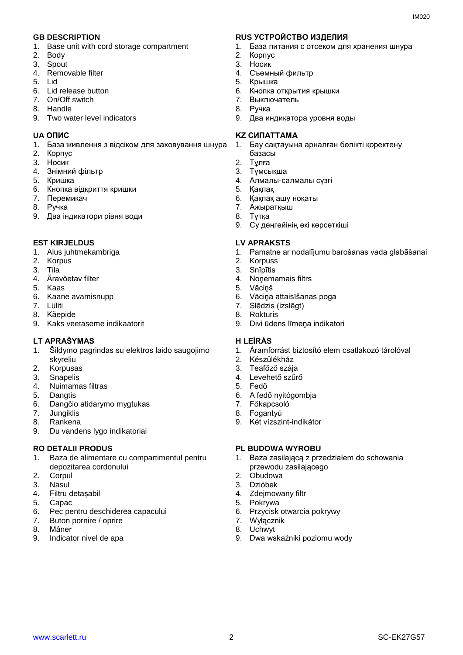- 1. Base unit with cord storage compartment
- 2. Body
- 3. Spout
- 4. Removable filter
- 5. Lid
- 6. Lid release button
- 7. On/Off switch
- 8. Handle
- 9. Two water level indicators

- 1. База живлення з відсіком для заховування шнура
- 2. Корпус
- 3. Носик
- 4. Знiмний фільтр
- 5. Кришка
- 6. Кнопка відкриття кришки
- 7. Перемикач
- 8. Ручка
- 9. Два індикатори рівня води

#### **EST KIRJELDUS LV APRAKSTS**

- 1. Alus juhtmekambriga
- 2. Korpus
- 3. Tila
- 4. Äravõetav filter
- 5. Kaas
- 6. Kaane avamisnupp
- 7. Lüliti
- 8. Käepide
- 9. Kaks veetaseme indikaatorit

#### **LT APRAŠYMAS H LEÍRÁS**

- 1. Šildymo pagrindas su elektros laido saugojimo skyreliu
- 2. Korpusas
- 3. Snapelis
- 4. Nuimamas filtras
- 5. Dangtis
- 6. Dangčio atidarymo mygtukas
- 7. Jungiklis
- 8. Rankena
- 9. Du vandens lygo indikatoriai

- 1. Baza de alimentare cu compartimentul pentru depozitarea cordonului
- 2. Corpul
- 3. Nasul
- 4. Filtru detașabil
- 5. Capac
- 6. Pec pentru deschiderea capacului<br>7. Buton pornire / oprire
- Buton pornire / oprire
- 8. Mâner
- 9. Indicator nivel de apa

#### **GB DESCRIPTION RUS УСТРОЙСТВО ИЗДЕЛИЯ**

- 1. База питания с отсеком для хранения шнура
- 2. Корпус
- 3. Носик
- 4. Съемный фильтр
- 5. Крышка
- 6. Кнопка открытия крышки
- 7. Выключатель 8. Ручка
- 
- 9. Два индикатора уровня воды

#### **UA ОПИС KZ СИПАТТАМА**

- 1. Бау сақтауына арналған бөлікті қоректену базасы
- 2. Тұлға
- 3. Тұмсықша
- 4. Алмалы-салмалы сүзгі
- 5. Қақпақ
- 6. Қақпақ ашу ноқаты
- 7. Ажыратқыш
- 8. Тұтқа
- 9. Су деңгейінің екі көрсеткіші

- 1. Pamatne ar nodalījumu barošanas vada glabāšanai
- 2. Korpuss
- 3. Snīpītis
- 4. Noņemamais filtrs
- 5. Vāciņš
- 6. Vāciņa attaisīšanas poga
- 7. Slēdzis (izslēgt)
- 8. Rokturis
- 9. Divi ūdens līmeņa indikatori

- 1. Áramforrást biztosító elem csatlakozó tárolóval
- 2. Készülékház
- 3. Teafőző szája
- 4. Levehető szűrő
- 5. Fedő
- 6. A fedő nyitógombja
- 7. Főkapcsoló
- 8. Fogantyú
- 9. Két vízszint-indikátor

#### **RO DETALII PRODUS PL BUDOWA WYROBU**

- 1. Baza zasilającą z przedziałem do schowania przewodu zasilającego
- 2. Obudowa
- 3. Dzióbek
- 4. Zdejmowany filtr
- 5. Pokrywa
- 6. Przycisk otwarcia pokrywy
- 7. Wyłącznik
- 8. Uchwyt 9. Dwa wskaźniki poziomu wody

www.scarlett.ru 2 2 SC-EK27G57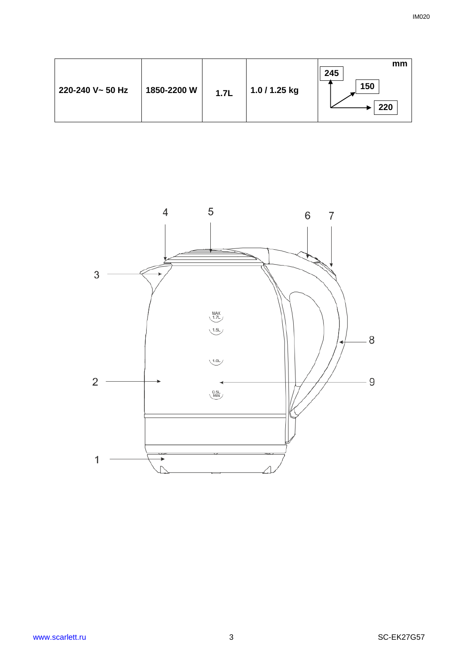| 220-240 V~ 50 Hz<br>1850-2200 W | 1.7L | 1.0 / 1.25 kg | mm<br>245<br>150<br>220 |
|---------------------------------|------|---------------|-------------------------|
|---------------------------------|------|---------------|-------------------------|

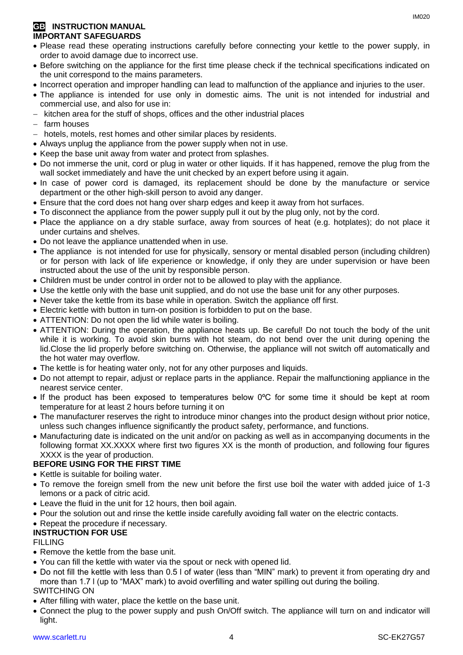# **GB INSTRUCTION MANUAL IMPORTANT SAFEGUARDS**

- Please read these operating instructions carefully before connecting your kettle to the power supply, in order to avoid damage due to incorrect use.
- Before switching on the appliance for the first time please check if the technical specifications indicated on the unit correspond to the mains parameters.
- Incorrect operation and improper handling can lead to malfunction of the appliance and injuries to the user.
- The appliance is intended for use only in domestic aims. The unit is not intended for industrial and commercial use, and also for use in:
- kitchen area for the stuff of shops, offices and the other industrial places
- $-$  farm houses
- hotels, motels, rest homes and other similar places by residents.
- Always unplug the appliance from the power supply when not in use.
- Keep the base unit away from water and protect from splashes.
- Do not immerse the unit, cord or plug in water or other liquids. If it has happened, remove the plug from the wall socket immediately and have the unit checked by an expert before using it again.
- In case of power cord is damaged, its replacement should be done by the manufacture or service department or the other high-skill person to avoid any danger.
- Ensure that the cord does not hang over sharp edges and keep it away from hot surfaces.
- To disconnect the appliance from the power supply pull it out by the plug only, not by the cord.
- Place the appliance on a dry stable surface, away from sources of heat (e.g. hotplates); do not place it under curtains and shelves.
- Do not leave the appliance unattended when in use.
- The appliance is not intended for use for [physically, sensory or mental disabled](https://www.multitran.ru/c/m.exe?t=5841801_1_2&s1=%F7%E5%EB%EE%E2%E5%EA%20%F1%20%EE%E3%F0%E0%ED%E8%F7%E5%ED%ED%FB%EC%E8%20%E2%EE%E7%EC%EE%E6%ED%EE%F1%F2%FF%EC%E8) person (including children) or for person with lack of life experience or knowledge, if only they are under supervision or have been instructed about the use of the unit by responsible person.
- Children must be under control in order not to be allowed to play with the appliance.
- Use the kettle only with the base unit supplied, and do not use the base unit for any other purposes.
- Never take the kettle from its base while in operation. Switch the appliance off first.
- Electric kettle with button in turn-on position is forbidden to put on the base.
- ATTENTION: Do not open the lid while water is boiling.
- ATTENTION: During the operation, the appliance heats up. Be careful! Do not touch the body of the unit while it is working. To avoid skin burns with hot steam, do not bend over the unit during opening the lid.Close the lid properly before switching on. Otherwise, the appliance will not switch off automatically and the hot water may overflow.
- The kettle is for heating water only, not for any other purposes and liquids.
- Do not attempt to repair, adjust or replace parts in the appliance. Repair the malfunctioning appliance in the nearest service center.
- If the product has been exposed to temperatures below 0ºC for some time it should be kept at room temperature for at least 2 hours before turning it on
- The manufacturer reserves the right to introduce minor changes into the product design without prior notice, unless such changes influence significantly the product safety, performance, and functions.
- Manufacturing date is indicated on the unit and/or on packing as well as in accompanying documents in the following format XX.XXXX where first two figures XX is the month of production, and following four figures XXXX is the year of production.

# **BEFORE USING FOR THE FIRST TIME**

- Kettle is suitable for boiling water.
- To remove the foreign smell from the new unit before the first use boil the water with added juice of 1-3 lemons or a pack of citric acid.
- Leave the fluid in the unit for 12 hours, then boil again.
- Pour the solution out and rinse the kettle inside carefully avoiding fall water on the electric contacts.
- Repeat the procedure if necessary.

# **INSTRUCTION FOR USE**

# FILLING

- Remove the kettle from the base unit.
- You can fill the kettle with water via the spout or neck with opened lid.
- Do not fill the kettle with less than 0.5 l of water (less than "MIN" mark) to prevent it from operating dry and more than 1.7 l (up to "MAX" mark) to avoid overfilling and water spilling out during the boiling. SWITCHING ON
- After filling with water, place the kettle on the base unit.
- Connect the plug to the power supply and push On/Off switch. The appliance will turn on and indicator will light.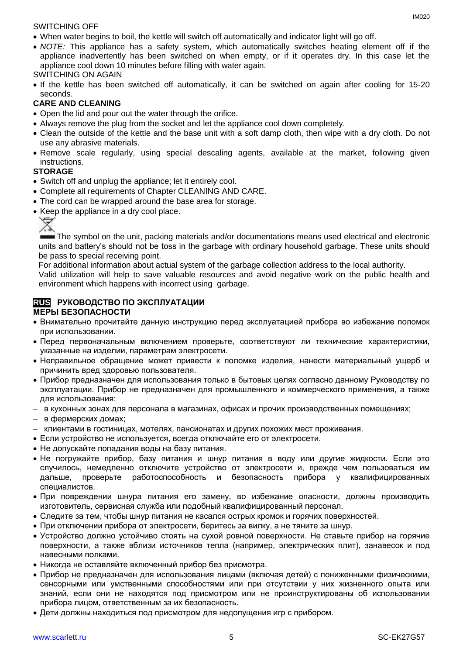#### SWITCHING OFF

- When water begins to boil, the kettle will switch off automatically and indicator light will go off.
- *NOTE:* This appliance has a safety system, which automatically switches heating element off if the appliance inadvertently has been switched on when empty, or if it operates dry. In this case let the appliance cool down 10 minutes before filling with water again.

# SWITCHING ON AGAIN

• If the kettle has been switched off automatically, it can be switched on again after cooling for 15-20 seconds.

# **CARE AND CLEANING**

- Open the lid and pour out the water through the orifice.
- Always remove the plug from the socket and let the appliance cool down completely.
- Clean the outside of the kettle and the base unit with a soft damp cloth, then wipe with a dry cloth. Do not use any abrasive materials.
- Remove scale regularly, using special descaling agents, available at the market, following given instructions.

# **STORAGE**

- Switch off and unplug the appliance; let it entirely cool.
- Complete all requirements of Chapter CLEANING AND CARE.
- The cord can be wrapped around the base area for storage.
- Keep the appliance in a dry cool place.



The symbol on the unit, packing materials and/or documentations means used electrical and electronic units and battery's should not be toss in the garbage with ordinary household garbage. These units should be pass to special receiving point.

For additional information about actual system of the garbage collection address to the local authority.

Valid utilization will help to save valuable resources and avoid negative work on the public health and environment which happens with incorrect using garbage.

#### **RUS РУКОВОДСТВО ПО ЭКСПЛУАТАЦИИ МЕРЫ БЕЗОПАСНОСТИ**

- Внимательно прочитайте данную инструкцию перед эксплуатацией прибора во избежание поломок при использовании.
- Перед первоначальным включением проверьте, соответствуют ли технические характеристики, указанные на изделии, параметрам электросети.
- Неправильное обращение может привести к поломке изделия, нанести материальный ущерб и причинить вред здоровью пользователя.
- Прибор предназначен для использования только в бытовых целях согласно данному Руководству по эксплуатации. Прибор не предназначен для промышленного и коммерческого применения, а также для использования:
- в кухонных зонах для персонала в магазинах, офисах и прочих производственных помещениях;
- в фермерских домах;
- клиентами в гостиницах, мотелях, пансионатах и других похожих мест проживания.
- Если устройство не используется, всегда отключайте его от электросети.
- Не допускайте попадания воды на базу питания.
- Не погружайте прибор, базу питания и шнур питания в воду или другие жидкости. Если это случилось, немедленно отключите устройство от электросети и, прежде чем пользоваться им дальше, проверьте работоспособность и безопасность прибора у квалифицированных специалистов.
- При повреждении шнура питания его замену, во избежание опасности, должны производить изготовитель, сервисная служба или подобный квалифицированный персонал.
- Следите за тем, чтобы шнур питания не касался острых кромок и горячих поверхностей.
- При отключении прибора от электросети, беритесь за вилку, а не тяните за шнур.
- Устройство должно устойчиво стоять на сухой ровной поверхности. Не ставьте прибор на горячие поверхности, а также вблизи источников тепла (например, электрических плит), занавесок и под навесными полками.
- Никогда не оставляйте включенный прибор без присмотра.
- Прибор не предназначен для использования лицами (включая детей) с пониженными физическими, сенсорными или умственными способностями или при отсутствии у них жизненного опыта или знаний, если они не находятся под присмотром или не проинструктированы об использовании прибора лицом, ответственным за их безопасность.
- Дети должны находиться под присмотром для недопущения игр с прибором.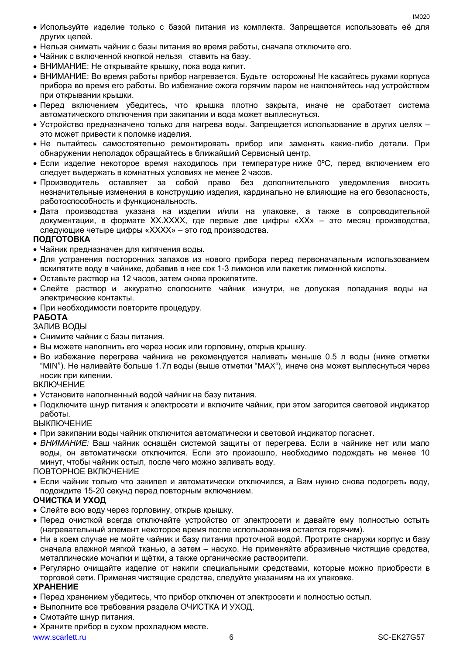- Используйте изделие только с базой питания из комплекта. Запрещается использовать её для других целей.
- Нельзя снимать чайник с базы питания во время работы, сначала отключите его.
- Чайник с включенной кнопкой нельзя ставить на базу.
- ВНИМАНИЕ: Не открывайте крышку, пока вода кипит.
- ВНИМАНИЕ: Во время работы прибор нагревается. Будьте осторожны! Не касайтесь руками корпуса прибора во время его работы. Во избежание ожога горячим паром не наклоняйтесь над устройством при открывании крышки.
- Перед включением убедитесь, что крышка плотно закрыта, иначе не сработает система автоматического отключения при закипании и вода может выплеснуться.
- Устройство предназначено только для нагрева воды. Запрещается использование в других целях это может привести к поломке изделия.
- Не пытайтесь самостоятельно ремонтировать прибор или заменять какие-либо детали. При обнаружении неполадок обращайтесь в ближайший Сервисный центр.
- Если изделие некоторое время находилось при температуре ниже 0°С, перед включением его следует выдержать в комнатных условиях не менее 2 часов.
- Производитель оставляет за собой право без дополнительного уведомления вносить незначительные изменения в конструкцию изделия, кардинально не влияющие на его безопасность, работоспособность и функциональность.
- Дата производства указана на изделии и/или на упаковке, а также в сопроводительной документации, в формате XX.XXXX, где первые две цифры «XX» – это месяц производства, следующие четыре цифры «XXXX» – это год производства.

# **ПОДГОТОВКА**

- Чайник предназначен для кипячения воды.
- Для устранения посторонних запахов из нового прибора перед первоначальным использованием вскипятите воду в чайнике, добавив в нее сок 1-3 лимонов или пакетик лимонной кислоты.
- Оставьте раствор на 12 часов, затем снова прокипятите.
- Слейте раствор и аккуратно сполосните чайник изнутри, не допуская попадания воды на электрические контакты.
- При необходимости повторите процедуру.

# **РАБОТА**

ЗАЛИВ ВОДЫ

- Снимите чайник с базы питания.
- Вы можете наполнить его через носик или горловину, открыв крышку.
- Во избежание перегрева чайника не рекомендуется наливать меньше 0.5 л воды (ниже отметки "MIN"). Не наливайте больше 1.7л воды (выше отметки "MAX"), иначе она может выплеснуться через носик при кипении.

# **ВКЛЮЧЕНИЕ**

- Установите наполненный водой чайник на базу питания.
- Подключите шнур питания к электросети и включите чайник, при этом загорится световой индикатор работы.

# ВЫКЛЮЧЕНИЕ

- При закипании воды чайник отключится автоматически и световой индикатор погаснет.
- *ВНИМАНИЕ:* Ваш чайник оснащён системой защиты от перегрева. Если в чайнике нет или мало воды, он автоматически отключится. Если это произошло, необходимо подождать не менее 10 минут, чтобы чайник остыл, после чего можно заливать воду.

# ПОВТОРНОЕ ВКЛЮЧЕНИЕ

 Если чайник только что закипел и автоматически отключился, а Вам нужно снова подогреть воду, подождите 15-20 секунд перед повторным включением.

# **ОЧИСТКА И УХОД**

- Слейте всю воду через горловину, открыв крышку.
- Перед очисткой всегда отключайте устройство от электросети и давайте ему полностью остыть (нагревательный элемент некоторое время после использования остается горячим).
- Ни в коем случае не мойте чайник и базу питания проточной водой. Протрите снаружи корпус и базу сначала влажной мягкой тканью, а затем – насухо. Не применяйте абразивные чистящие средства, металлические мочалки и щётки, а также органические растворители.
- Регулярно очищайте изделие от накипи специальными средствами, которые можно приобрести в торговой сети. Применяя чистящие средства, следуйте указаниям на их упаковке.

# **ХРАНЕНИЕ**

- Перед хранением убедитесь, что прибор отключен от электросети и полностью остыл.
- Выполните все требования раздела ОЧИСТКА И УХОД.
- Смотайте шнур питания.
- Храните прибор в сухом прохладном месте.

www.scarlett.ru 6 SC-EK27G57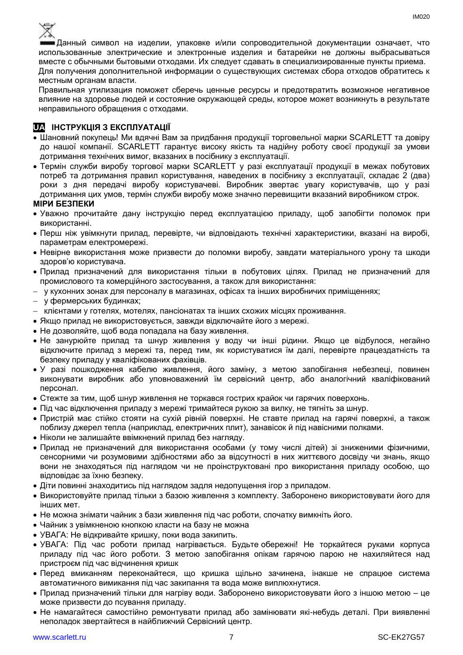

Данный символ на изделии, упаковке и/или сопроводительной документации означает, что использованные электрические и электронные изделия и батарейки не должны выбрасываться вместе с обычными бытовыми отходами. Их следует сдавать в специализированные пункты приема. Для получения дополнительной информации о существующих системах сбора отходов обратитесь к местным органам власти.

Правильная утилизация поможет сберечь ценные ресурсы и предотвратить возможное негативное влияние на здоровье людей и состояние окружающей среды, которое может возникнуть в результате неправильного обращения с отходами.

# **UA ІНСТРУКЦІЯ З ЕКСПЛУАТАЦІЇ**

- Шановний покупець! Ми вдячні Вам за придбання продукції торговельної марки SCARLETT та довіру до нашої компанії. SCARLETT гарантує високу якість та надійну роботу своєї продукції за умови дотримання технічних вимог, вказаних в посібнику з експлуатації.
- Термін служби виробу торгової марки SCARLETT у разі експлуатації продукції в межах побутових потреб та дотримання правил користування, наведених в посібнику з експлуатації, складає 2 (два) роки з дня передачі виробу користувачеві. Виробник звертає увагу користувачів, що у разі дотримання цих умов, термін служби виробу може значно перевищити вказаний виробником строк. **МІРИ БЕЗПЕКИ**

#### Уважно прочитайте дану інструкцію перед експлуатацією приладу, щоб запобігти поломок при використанні.

- Перш ніж увімкнути прилад, перевірте, чи відповідають технічні характеристики, вказані на виробі, параметрам електромережі.
- Невiрне використання може призвести до поломки виробу, завдати матеріального урону та шкоди здоров'ю користувача.
- Прилад призначений для використання тільки в побутових цілях. Прилад не призначений для промислового та комерційного застосування, а також для використання:
- у кухонних зонах для персоналу в магазинах, офісах та інших виробничих приміщеннях;
- у фермерських будинках;
- клієнтами у готелях, мотелях, пансіонатах та інших схожих місцях проживання.
- Якщо прилад не використовується, завжди відключайте його з мережі.
- Не дозволяйте, щоб вода попадала на базу живлення.
- Не занурюйте прилад та шнур живлення у воду чи інші рідини. Якщо це відбулося, негайно відключите прилад з мережі та, перед тим, як користуватися їм далі, перевірте працездатність та безпеку приладу у кваліфікованих фахівців.
- У разі пошкодження кабелю живлення, його заміну, з метою запобігання небезпеці, повинен виконувати виробник або уповноважений їм сервісний центр, або аналогічний кваліфікований персонал.
- Стежте за тим, щоб шнур живлення не торкався гострих крайок чи гарячих поверхонь.
- Пiд час відключення приладу з мережі тримайтеся рукою за вилку, не тягніть за шнур.
- Пристрій має стійко стояти на сухій рiвній поверхні. Не ставте прилад на гарячі поверхні, а також поблизу джерел тепла (наприклад, електричних плит), занавісок й під навісними полками.
- Ніколи не залишайте ввімкнений прилад без нагляду.
- Прилад не призначений для використання особами (у тому числі дітей) зі зниженими фізичними, сенсорними чи розумовими здібностями або за відсутності в них життєвого досвіду чи знань, якщо вони не знаходяться під наглядом чи не проінструктовані про використання приладу особою, що відповідає за їхню безпеку.
- Діти повинні знаходитись під наглядом задля недопущення ігор з приладом.
- Використовуйте прилад тільки з базою живлення з комплекту. Заборонено використовувати його для iнших мет.
- Не можна знімати чайник з бази живлення пiд час роботи, спочатку вимкніть його.
- Чайник з увімкненою кнопкою класти на базу не можна
- УВАГА: Не відкривайте кришку, поки вода закипить.
- УВАГА: Під час роботи прилад нагрівається. Будьте обережні! Не торкайтеся руками корпуса приладу під час його роботи. З метою запобігання опікам гарячою парою не нахиляйтеся над пристроєм під час відчинення кришк
- Перед вмиканням переконайтеся, що кришка щільно зачинена, інакше не спрацюе система автоматичного вимикання пiд час закипання та вода може виплюхнутися.
- Прилад призначений тільки для нагріву води. Заборонено використовувати його з іншою метою це може призвести до псування приладу.
- Не намагайтеся самостійно ремонтувати прилад або замінювати які-небудь деталі. При виявленні неполадок звертайтеся в найближчий Сервісний центр.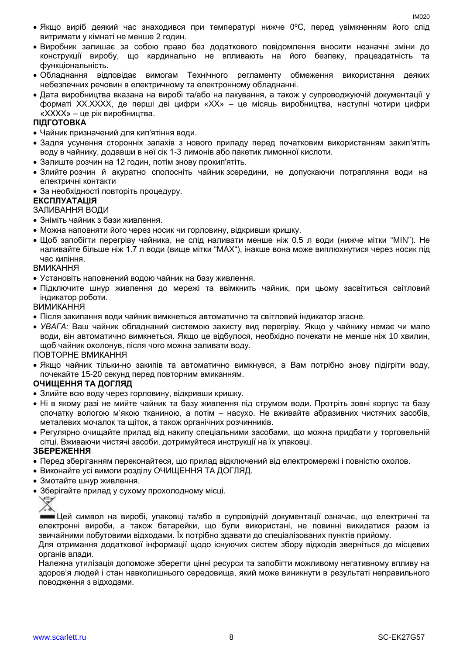- Якщо виріб деякий час знаходився при температурі нижче 0ºC, перед увімкненням його слід витримати у кімнаті не менше 2 годин.
- Виробник залишає за собою право без додаткового повідомлення вносити незначні зміни до конструкції виробу, що кардинально не впливають на його безпеку, працездатність та функціональність.
- Обладнання відповідає вимогам Технічного регламенту обмеження використання деяких небезпечних речовин в електричному та електронному обладнанні.
- Дата виробництва вказана на виробі та/або на пакування, а також у супроводжуючій документації у форматі XX.XXXX, де перші дві цифри «XX» – це місяць виробництва, наступні чотири цифри «XXXX» – це рік виробництва.

#### **ПІДГОТОВКА**

- Чайник призначений для кип'ятіння води.
- Задля усунення сторонніх запахів з нового приладу перед початковим використанням закип'ятіть воду в чайнику, додавши в неї сік 1-3 лимонів або пакетик лимонної кислоти.
- Залиште розчин на 12 годин, потім знову прокип'ятіть.
- Злийте розчин й акуратно сполосніть чайник зсередини, не допускаючи потрапляння води на електричні контакти
- За необхідності повторіть процедуру.

#### **ЕКСПЛУАТАЦІЯ**

#### ЗАЛИВАННЯ ВОДИ

- Зніміть чайник з бази живлення.
- Можна наповняти його через носик чи горловину, відкривши кришку.
- Щоб запобігти перегріву чайника, не слiд наливати менше ніж 0.5 л води (нижче мітки "MIN"). Не наливайте більше ніж 1.7 л води (вище мітки "MAX"), інакше вона може виплюхнутися через носик пiд час кипіння.

#### ВМИКАННЯ

- Установіть наповнений водою чайник на базу живлення.
- Підключите шнур живлення до мережі та ввімкнить чайник, при цьому засвітиться світловий індикатор роботи.

#### ВИМИКАННЯ

- Після закипання води чайник вимкнеться автоматично та світловий індикатор згасне.
- *УВАГА:* Ваш чайник обладнаний системою захисту вид перегріву. Якщо у чайнику немає чи мало води, він автоматично вимкнеться. Якщо це відбулося, необхідно почекати не менше ніж 10 хвилин, щоб чайник охолонув, після чого можна заливати воду.

#### ПОВТОРНЕ ВМИКАННЯ

 Якщо чайник тільки-но закипів та автоматично вимкнувся, а Вам потрібно знову підігріти воду, почекайте 15-20 секунд перед повторним вмиканням.

#### **ОЧИЩЕННЯ ТА ДОГЛЯД**

- Злийте всю воду через горловину, відкривши кришку.
- Ні в якому разі не мийте чайник та базу живлення під струмом води. Протріть зовні корпус та базу спочатку вологою м'якою тканиною, а потім – насухо. Не вживайте абразивних чистячих засобів, металевих мочалок та щіток, а також органічних розчинників.
- Регулярно очищайте прилад від накипу спеціальними засобами, що можна придбати у торговельній сітці. Вживаючи чистячі засоби, дотримуйтеся инструкції на їх упаковці.

#### **ЗБЕРЕЖЕННЯ**

- Перед зберіганням переконайтеся, що прилад відключений від електромережі і повністю охолов.
- Виконайте усі вимоги розділу ОЧИЩЕННЯ ТА ДОГЛЯД.
- Змотайте шнур живлення.
- Зберігайте прилад у сухому прохолодному місці.



Цей символ на виробі, упаковці та/або в супровідній документації означає, що електричні та електронні вироби, а також батарейки, що були використані, не повинні викидатися разом із звичайними побутовими відходами. Їх потрібно здавати до спеціалізованих пунктів прийому.

Для отримання додаткової інформації щодо існуючих систем збору відходів зверніться до місцевих органів влади.

Належна утилізація допоможе зберегти цінні ресурси та запобігти можливому негативному впливу на здоров'я людей і стан навколишнього середовища, який може виникнути в результаті неправильного поводження з відходами.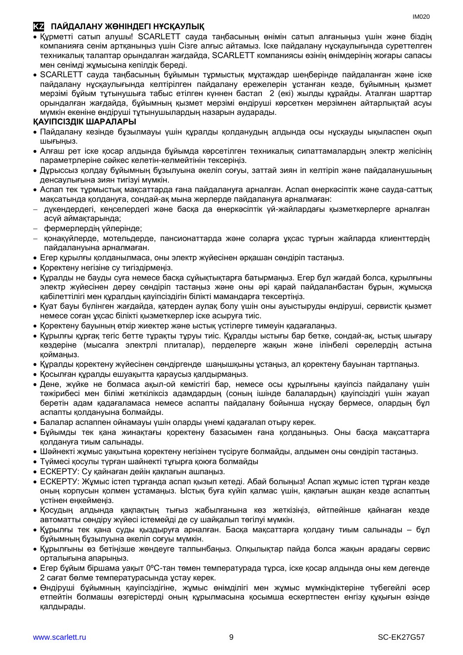# **KZ ПАЙДАЛАНУ ЖӨНІНДЕГІ НҰСҚАУЛЫҚ**

- Құрметті сатып алушы! SCARLETT сауда таңбасының өнімін сатып алғаныңыз үшін және біздің компанияға сенім артқаныңыз үшін Сізге алғыс айтамыз. Іске пайдалану нұсқаулығында суреттелген техникалық талаптар орындалған жағдайда, SCARLETT компаниясы өзінің өнімдерінің жоғары сапасы мен сенімді жұмысына кепілдік береді.
- SCARLETT сауда таңбасының бұйымын тұрмыстық мұқтаждар шеңберінде пайдаланған және іске пайдалану нұсқаулығында келтірілген пайдалану ережелерін ұстанған кезде, бұйымның қызмет мерзімі бұйым тұтынушыға табыс етілген күннен бастап 2 (екі) жылды құрайды. Аталған шарттар орындалған жағдайда, бұйымның қызмет мерзімі өндіруші көрсеткен мерзімнен айтарлықтай асуы мүмкін екеніне өндіруші тұтынушылардың назарын аударады.

# **ҚАУІПСІЗДІК ШАРАЛАРЫ**

- Пайдалану кезінде бұзылмауы үшін құралды қолданудың алдында осы нұсқауды ықыласпен оқып шығыңыз.
- Алғаш рет іске қосар алдында бұйымда көрсетілген техникалық сипаттамалардың электр желісінің параметрлеріне сәйкес келетін-келмейтінін тексеріңіз.
- Дұрыссыз қолдау бұйымның бұзылуына әкеліп соғуы, заттай зиян іп келтіріп және пайдаланушының денсаулығына зиян тигізуі мүмкін.
- Аспап тек тұрмыстық мақсаттарда ғана пайдалануға арналған. Аспап өнеркәсіптік және сауда-саттық мақсатында қолдануға, сондай-ақ мына жерлерде пайдалануға арналмаған:
- дүкендердегі, кеңселердегі және басқа да өнеркәсіптік үй-жайлардағы қызметкерлерге арналған асүй аймақтарында;
- фермерлердің үйлерінде;
- қонақүйлерде, мотельдерде, пансионаттарда және соларға ұқсас тұрғын жайларда клиенттердің пайдалануына арналмаған.
- Егер құрылғы қолданылмаса, оны электр жүйесінен әрқашан сөндіріп тастаңыз.
- Қоректену негізіне су тигіздірмеңіз.
- Құралды не бауды суға немесе басқа сұйықтықтарға батырмаңыз. Егер бұл жағдай болса, құрылғыны электр жүйесінен дереу сөндіріп тастаңыз және оны әрі қарай пайдаланбастан бұрын, жұмысқа қабілеттілігі мен құралдың қауіпсіздігін білікті мамандарға тексертіңіз.
- Қуат бауы бүлінген жағдайда, қатерден аулақ болу үшін оны ауыстыруды өндіруші, сервистік қызмет немесе соған ұқсас білікті қызметкерлер іске асыруға тиіс.
- Қоректену бауының өткір жиектер және ыстық үстілерге тимеуін қадағалаңыз.
- Құрылғы құрғақ тегіс бетте тұрақты тұруы тиіс. Құралды ыстығы бар бетке, сондай-ақ, ыстық шығару көздеріне (мысалға электрлі плиталар), перделерге жақын және ілінбелі сөрелердің астына қоймаңыз.
- Құралды қоректену жүйесінен сөндіргенде шаңышқыны ұстаңыз, ал қоректену бауынан тартпаңыз.
- Қосылған құралды ешуақытта қараусыз қалдырмаңыз.
- Дене, жүйке не болмаса ақыл-ой кемістігі бар, немесе осы құрылғыны қауіпсіз пайдалану үшін тәжірибесі мен білімі жеткіліксіз адамдардың (соның ішінде балалардың) қауіпсіздігі үшін жауап беретін адам қадағаламаса немесе аспапты пайдалану бойынша нұсқау бермесе, олардың бұл аспапты қолдануына болмайды.
- Балалар аспаппен ойнамауы үшін оларды үнемі қадағалап отыру керек.
- Бұйымды тек қана жинақтағы қоректену базасымен ғана қолданыңыз. Оны басқа мақсаттарға қолдануға тиым салынады.
- Шәйнекті жұмыс уақытына қоректену негізінен түсіруге болмайды, алдымен оны сөндіріп тастаңыз.
- Түймесі қосулы түрған шайнекті тұғырға қоюға болмайды
- ЕСКЕРТУ: Су қайнаған дейін қақпағын ашпаңыз.
- ЕСКЕРТУ: Жұмыс істеп тұрғанда аспап қызып кетеді. Абай болыңыз! Аспап жұмыс істеп тұрған кезде оның корпусын қолмен ұстамаңыз. Ыстық буға күйіп қалмас үшін, қақпағын ашқан кезде аспаптың үстінен еңкеймеңіз.
- Қосудың алдында қақпақтың тығыз жабылғанына көз жеткізіңіз, өйтпейінше қайнаған кезде автоматты сөндіру жүйесі істемейді де су шайқалып төгілуі мүмкін.
- Құрылғы тек қана суды қыздыруға арналған. Басқа мақсаттарға қолдану тиым салынады бұл бұйымның бұзылуына әкеліп соғуы мүмкін.
- Құрылғыны өз бетіңізше жөндеуге талпынбаңыз. Олқылықтар пайда болса жақын арадағы сервис орталығына апарыңыз.
- Егер бұйым біршама уақыт 0ºC-тан төмен температурада тұрса, іске қосар алдында оны кем дегенде 2 сағат бөлме температурасында ұстау керек.
- Өндіруші бұйымның қауіпсіздігіне, жұмыс өнімділігі мен жұмыс мүмкіндіктеріне түбегейлі әсер етпейтін болмашы өзгерістерді оның құрылмасына қосымша ескертпестен енгізу құқығын өзінде қалдырады.

IM020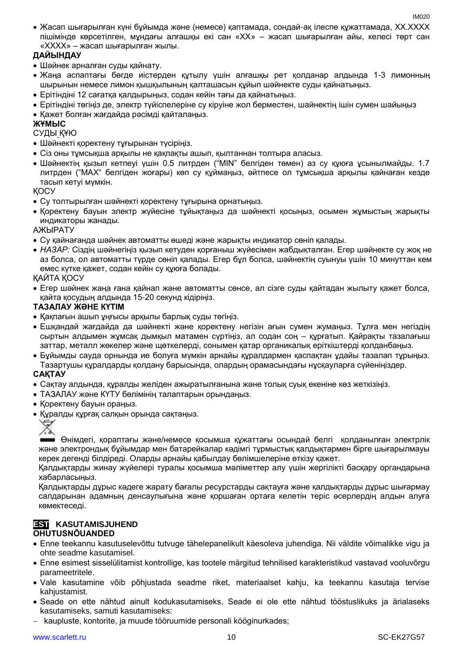Жасап шығарылған күні бұйымда және (немесе) қаптамада, сондай-ақ ілеспе құжаттамада, XX.XXXX пішімінде көрсетілген, мұндағы алғашқы екі сан «XX» – жасап шығарылған айы, келесі төрт сан «XXXX» – жасап шығарылған жылы.

# **ДАЙЫНДАУ**

- Шәйнек арналған суды қайнату.
- Жаңа аспаптағы бөгде иістерден құтылу үшін алғашқы рет қолданар алдында 1-3 лимонның шырынын немесе лимон қышқылының қалташасын құйып шәйнекте суды қайнатыңыз.
- Ерітіндіні 12 сағатқа қалдырыңыз, содан кейін тағы да қайнатыңыз.
- Ерітіндіні төгіңіз де, электр түйіспелеріне су кіруіне жол берместен, шайнектің ішін сумен шайыңыз
- Қажет болған жағдайда рәсімді қайталаңыз.

# **ЖҰМЫС**

СУДЫ ҚҰЮ

- Шәйнекті қоректену тұғырынан түсіріңіз.
- Сіз оны тұмсықша арқылы не қақпақты ашып, қылтаннан толтыра алаcыз.
- Шәйнектің қызып кетпеуі үшін 0.5 литрден ("MIN" белгіден төмен) аз су құюға ұсынылмайды. 1.7 литрден ("MAX" белгіден жоғары) көп су құймаңыз, әйтпесе ол тұмсықша арқылы қайнаған кезде тасып кетуі мүмкін.

ҚОСУ

- Су толтырылған шәйнекті қоректену тұғырына орнатыңыз.
- Қоректену бауын электр жүйесіне тұйықтаңыз да шәйнекті қосыңыз, осымен жұмыстың жарықты индикаторы жанады.

АЖЫРАТУ

- Су қайнағанда шәйнек автоматты өшеді және жарықты индикатор сөніп қалады.
- *НАЗАР:* Сіздің шәйнегіңіз қызып кетуден қорғаныш жүйесімен жабдықталған. Егер шәйнекте су жоқ не аз болса, ол автоматты түрде сөніп қалады. Егер бұл болса, шәйнектің суынуы үшін 10 минуттан кем емес күтке қажет, содан кейін су құюға болады.

ҚАЙТА ҚОСУ

 Егер шәйнек жаңа ғана қайнап және автоматты сөнсе, ал сізге суды қайтадан жылыту қажет болса, қайта қосудың алдында 15-20 секунд кідіріңіз.

# **ТАЗАЛАУ ЖӘНЕ КҮТІМ**

- Қақпағын ашып ұңғысы арқылы барлық суды төгіңіз.
- Ешқандай жағдайда да шәйнекті және қоректену негізін ағын сумен жумаңыз. Тұлға мен негіздің сыртын алдымен жұмсақ дымқыл матамен сүртіңіз, ал содан соң – құрғатып. Қайрақты тазалағыш заттар, металл жөкелер және щөткелерді, сонымен қатар органикалық еріткіштерді қолданбаңыз.
- Бұйымды сауда орнында ие болуға мүмкін арнайы құралдармен қаспақтан ұдайы тазалап тұрыңыз. Тазартушы құралдарды қолдану барысында, олардың орамасындағы нұсқауларға сүйеніңіздер.

# **САҚТАУ**

- Cақтау алдында, құралды желіден ажыратылғанына және толық суық екеніне көз жеткізіңіз.
- ТАЗАЛАУ және КҮТУ бөлімінің талаптарын орындаңыз.
- Қоректену бауын ораңыз.
- Құралды құрғақ салқын орында сақтаңыз.



Өнімдегі, қораптағы және/немесе қосымша құжаттағы осындай белгі қолданылған электрлік және электрондық бұйымдар мен батарейкалар кәдімгі тұрмыстық қалдықтармен бірге шығарылмауы керек дегенді білдіреді. Оларды арнайы қабылдау бөлімшелеріне өткізу қажет.

Қалдықтарды жинау жүйелері туралы қосымша мәліметтер алу үшін жергілікті басқару органдарына хабарласыңыз.

Қалдықтарды дұрыс кәдеге жарату бағалы ресурстарды сақтауға және қалдықтарды дұрыс шығармау салдарынан адамның денсаулығына және қоршаған ортаға келетін теріс әсерлердің алдын алуға көмектеседі.

# **EST KASUTAMISJUHEND**

# **OHUTUSNÕUANDED**

- Enne teekannu kasutuselevõttu tutvuge tähelepanelikult käesoleva juhendiga. Nii väldite võimalikke vigu ja ohte seadme kasutamisel.
- Enne esimest sisselülitamist kontrollige, kas tootele märgitud tehnilised karakteristikud vastavad vooluvõrgu parameetritele.
- Vale kasutamine võib põhjustada seadme riket, materiaalset kahju, ka teekannu kasutaja tervise kahjustamist.
- Seade on ette nähtud ainult kodukasutamiseks. Seade ei ole ette nähtud tööstuslikuks ja ärialaseks kasutamiseks, samuti kasutamiseks:
- kaupluste, kontorite, ja muude tööruumide personali kööginurkades;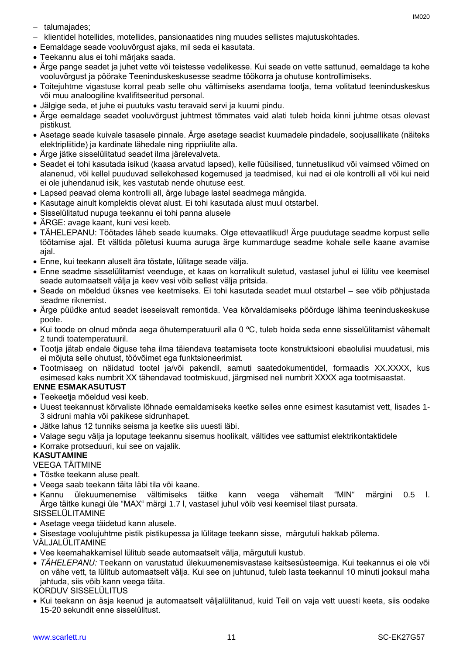- talumajades;
- klientidel hotellides, motellides, pansionaatides ning muudes sellistes majutuskohtades.
- Eemaldage seade vooluvõrgust ajaks, mil seda ei kasutata.
- Teekannu alus ei tohi märjaks saada.
- Ärge pange seadet ja juhet vette või teistesse vedelikesse. Kui seade on vette sattunud, eemaldage ta kohe vooluvõrgust ja pöörake Teeninduskeskusesse seadme töökorra ja ohutuse kontrollimiseks.
- Toitejuhtme vigastuse korral peab selle ohu vältimiseks asendama tootja, tema volitatud teeninduskeskus või muu analoogiline kvalifitseeritud personal.
- Jälgige seda, et juhe ei puutuks vastu teravaid servi ja kuumi pindu.
- Ärge eemaldage seadet vooluvõrgust juhtmest tõmmates vaid alati tuleb hoida kinni juhtme otsas olevast pistikust.
- Asetage seade kuivale tasasele pinnale. Ärge asetage seadist kuumadele pindadele, soojusallikate (näiteks elektripliitide) ja kardinate lähedale ning rippriiulite alla.
- Ärge jätke sisselülitatud seadet ilma järelevalveta.
- Seadet ei tohi kasutada isikud (kaasa arvatud lapsed), kelle füüsilised, tunnetuslikud või vaimsed võimed on alanenud, või kellel puuduvad sellekohased kogemused ja teadmised, kui nad ei ole kontrolli all või kui neid ei ole juhendanud isik, kes vastutab nende ohutuse eest.
- Lapsed peavad olema kontrolli all, ärge lubage lastel seadmega mängida.
- Kasutage ainult komplektis olevat alust. Ei tohi kasutada alust muul otstarbel.
- Sisselülitatud nupuga teekannu ei tohi panna alusele
- ÄRGE: avage kaant, kuni vesi keeb.
- TÄHELEPANU: Töötades läheb seade kuumaks. Olge ettevaatlikud! Ärge puudutage seadme korpust selle töötamise ajal. Et vältida põletusi kuuma auruga ärge kummarduge seadme kohale selle kaane avamise ajal.
- Enne, kui teekann aluselt ära tõstate, lülitage seade välja.
- Enne seadme sisselülitamist veenduge, et kaas on korralikult suletud, vastasel juhul ei lülitu vee keemisel seade automaatselt välja ja keev vesi võib sellest välja pritsida.
- Seade on mõeldud üksnes vee keetmiseks. Ei tohi kasutada seadet muul otstarbel see võib põhjustada seadme riknemist.
- Ärge püüdke antud seadet iseseisvalt remontida. Vea kõrvaldamiseks pöörduge lähima teeninduskeskuse poole.
- Kui toode on olnud mõnda aega õhutemperatuuril alla 0 °C, tuleb hoida seda enne sisselülitamist vähemalt 2 tundi toatemperatuuril.
- Tootja jätab endale õiguse teha ilma täiendava teatamiseta toote konstruktsiooni ebaolulisi muudatusi, mis ei mõjuta selle ohutust, töövõimet ega funktsioneerimist.
- Tootmisaeg on näidatud tootel ja/või pakendil, samuti saatedokumentidel, formaadis XX.XXXX, kus esimesed kaks numbrit XX tähendavad tootmiskuud, järgmised neli numbrit XXXX aga tootmisaastat.

# **ENNE ESMAKASUTUST**

- Teekeetja mõeldud vesi keeb.
- Uuest teekannust kõrvaliste lõhnade eemaldamiseks keetke selles enne esimest kasutamist vett, lisades 1- 3 sidruni mahla või pakikese sidrunhapet.
- Jätke lahus 12 tunniks seisma ja keetke siis uuesti läbi.
- Valage segu välja ja loputage teekannu sisemus hoolikalt, vältides vee sattumist elektrikontaktidele
- Korrake protseduuri, kui see on vajalik.

# **KASUTAMINE**

VEEGA TÄITMINE

- Tõstke teekann aluse pealt.
- Veega saab teekann täita läbi tila või kaane.
- Kannu ülekuumenemise vältimiseks täitke kann veega vähemalt "MIN" märgini 0.5 l. Ärge täitke kunagi üle "MAX" märgi 1.7 l, vastasel juhul võib vesi keemisel tilast pursata.

# SISSELÜLITAMINE

- Asetage veega täidetud kann alusele.
- Sisestage voolujuhtme pistik pistikupessa ja lülitage teekann sisse, märgutuli hakkab põlema.

VÄLJALÜLITAMINE

- Vee keemahakkamisel lülitub seade automaatselt välja, märgutuli kustub.
- *TÄHELEPANU:* Teekann on varustatud ülekuumenemisvastase kaitsesüsteemiga. Kui teekannus ei ole või on vähe vett, ta lülitub automaatselt välja. Kui see on juhtunud, tuleb lasta teekannul 10 minuti jooksul maha jahtuda, siis võib kann veega täita.

#### KORDUV SISSELÜLITUS

 Kui teekann on äsja keenud ja automaatselt väljalülitanud, kuid Teil on vaja vett uuesti keeta, siis oodake 15-20 sekundit enne sisselülitust.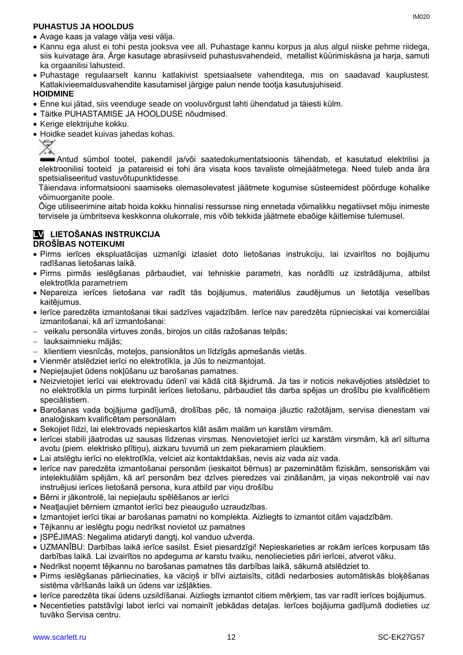# **PUHASTUS JA HOOLDUS**

- Kannu ega alust ei tohi pesta jooksva vee all. Puhastage kannu korpus ja alus algul niiske pehme riidega, siis kuivatage ära. Ärge kasutage abrasiivseid puhastusvahendeid, metallist küürimiskäsna ja harja, samuti ka orgaanilisi lahusteid.
- Puhastage regulaarselt kannu katlakivist spetsiaalsete vahenditega, mis on saadavad kauplustest. Katlakivieemaldusvahendite kasutamisel järgige palun nende tootja kasutusjuhiseid.

# **HOIDMINE**

- Enne kui jätad, siis veenduge seade on vooluvõrgust lahti ühendatud ja täiesti külm.
- Täitke PUHASTAMISE JA HOOLDUSE nõudmised.
- Kerige elektrijuhe kokku.
- Hoidke seadet kuivas jahedas kohas.<br>  $\overline{\mathscr{L}}$

Antud sümbol tootel, pakendil ja/või saatedokumentatsioonis tähendab, et kasutatud elektrilisi ja elektroonilisi tooteid ja patareisid ei tohi ära visata koos tavaliste olmejäätmetega. Need tuleb anda ära spetsialiseeritud vastuvõtupunktidesse.

Täiendava informatsiooni saamiseks olemasolevatest jäätmete kogumise süsteemidest pöörduge kohalike võimuorganite poole.

Õige utiliseerimine aitab hoida kokku hinnalisi ressursse ning ennetada võimalikku negatiivset mõju inimeste tervisele ja ümbritseva keskkonna olukorrale, mis võib tekkida jäätmete ebaõige käitlemise tulemusel.

# **LV LIETOŠANAS INSTRUKCIJA DROŠĪBAS NOTEIKUMI**

- Pirms ierīces ekspluatācijas uzmanīgi izlasiet doto lietošanas instrukciju, lai izvairītos no bojājumu radīšanas lietošanas laikā.
- Pirms pirmās ieslēgšanas pārbaudiet, vai tehniskie parametri, kas norādīti uz izstrādājuma, atbilst elektrotīkla parametriem
- Nepareiza ierīces lietošana var radīt tās bojājumus, materiālus zaudējumus un lietotāja veselības kaitējumus.
- Ierīce paredzēta izmantošanai tikai sadzīves vajadzībām. Ierīce nav paredzēta rūpnieciskai vai komerciālai izmantošanai, kā arī izmantošanai:
- veikalu personāla virtuves zonās, birojos un citās ražošanas telpās;
- lauksaimnieku mājās;
- klientiem viesnīcās, moteļos, pansionātos un līdzīgās apmešanās vietās.
- Vienmēr atslēdziet ierīci no elektrotīkla, ja Jūs to neizmantojat.
- Nepieļaujiet ūdens nokļūšanu uz barošanas pamatnes.
- Neizvietojiet ierīci vai elektrovadu ūdenī vai kādā citā šķidrumā. Ja tas ir noticis nekavējoties atslēdziet to no elektrotīkla un pirms turpināt ierīces lietošanu, pārbaudiet tās darba spējas un drošību pie kvalificētiem speciālistiem.
- Barošanas vada bojājuma gadījumā, drošības pēc, tā nomaiņa jāuztic ražotājam, servisa dienestam vai analoģiskam kvalificētam personālam
- Sekojiet līdzi, lai elektrovads nepieskartos klāt asām malām un karstām virsmām.
- Ierīcei stabili jāatrodas uz sausas līdzenas virsmas. Nenovietojiet ierīci uz karstām virsmām, kā arī siltuma avotu (piem. elektrisko plītiņu), aizkaru tuvumā un zem piekaramiem plauktiem.
- Lai atslēgtu ierīci no elektrotīkla, velciet aiz kontaktdakšas, nevis aiz vada aiz vada.
- Ierīce nav paredzēta izmantošanai personām (ieskaitot bērnus) ar pazeminātām fiziskām, sensoriskām vai intelektuālām spējām, kā arī personām bez dzīves pieredzes vai zināšanām, ja viņas nekontrolē vai nav instruējusi ierīces lietošanā persona, kura atbild par viņu drošību
- Bērni ir jākontrolē, lai nepieļautu spēlēšanos ar ierīci
- Neatļaujiet bērniem izmantot ierīci bez pieaugušo uzraudzības.
- Izmantojiet ierīci tikai ar barošanas pamatni no komplekta. Aizliegts to izmantot citām vajadzībām.
- Tējkannu ar ieslēgtu pogu nedrīkst novietot uz pamatnes
- ISPĖJIMAS: Negalima atidaryti dangtį, kol vanduo užverda.
- UZMANĪBU: Darbības laikā ierīce sasilst. Esiet piesardzīgi! Nepieskarieties ar rokām ierīces korpusam tās darbības laikā. Lai izvairītos no apdeguma ar karstu tvaiku, nenoliecieties pāri ierīcei, atverot vāku.
- Nedrīkst noņemt tējkannu no barošanas pamatnes tās darbības laikā, sākumā atslēdziet to.
- Pirms ieslēgšanas pārliecinaties, ka vāciņš ir blīvi aiztaisīts, citādi nedarbosies automātiskās bloķēšanas sistēma vārīšanās laikā un ūdens var izšļākties.
- Ierīce paredzēta tikai ūdens uzsildīšanai. Aizliegts izmantot citiem mērķiem, tas var radīt ierīces bojājumus.
- Necentieties patstāvīgi labot ierīci vai nomainīt jebkādas detaļas. Ierīces bojājuma gadījumā dodieties uz tuvāko Servisa centru.

IM020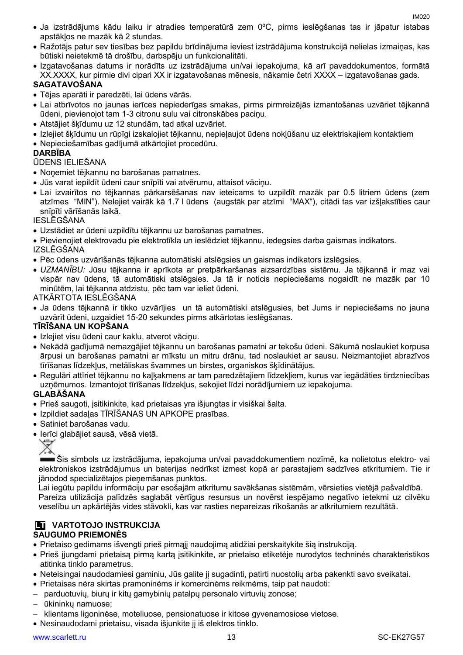- Ja izstrādājums kādu laiku ir atradies temperatūrā zem 0ºC, pirms ieslēgšanas tas ir jāpatur istabas apstākļos ne mazāk kā 2 stundas.
- Ražotājs patur sev tiesības bez papildu brīdinājuma ieviest izstrādājuma konstrukcijā nelielas izmaiņas, kas būtiski neietekmē tā drošību, darbspēju un funkcionalitāti.
- Izgatavošanas datums ir norādīts uz izstrādājuma un/vai iepakojuma, kā arī pavaddokumentos, formātā XX.XXXX, kur pirmie divi cipari XX ir izgatavošanas mēnesis, nākamie četri XXXX – izgatavošanas gads.

# **SAGATAVOŠANA**

- Tējas aparāti ir paredzēti, lai ūdens vārās.
- Lai atbrīvotos no jaunas ierīces nepiederīgas smakas, pirms pirmreizējās izmantošanas uzvāriet tējkannā ūdeni, pievienojot tam 1-3 citronu sulu vai citronskābes paciņu.
- Atstājiet šķīdumu uz 12 stundām, tad atkal uzvāriet.
- Izlejiet šķīdumu un rūpīgi izskalojiet tējkannu, nepieļaujot ūdens nokļūšanu uz elektriskajiem kontaktiem
- Nepieciešamības gadījumā atkārtojiet procedūru.

#### **DARBĪBA**

#### ŪDENS IELIEŠANA

- Noņemiet tējkannu no barošanas pamatnes.
- Jūs varat iepildīt ūdeni caur snīpīti vai atvērumu, attaisot vāciņu.
- Lai izvairītos no tējkannas pārkarsēšanas nav ieteicams to uzpildīt mazāk par 0.5 litriem ūdens (zem atzīmes "MIN"). Nelejiet vairāk kā 1.7 l ūdens (augstāk par atzīmi "MAX"), citādi tas var izšļakstīties caur snīpīti vārīšanās laikā.

#### IESLĒGŠANA

- Uzstādiet ar ūdeni uzpildītu tējkannu uz barošanas pamatnes.
- Pievienojiet elektrovadu pie elektrotīkla un ieslēdziet tējkannu, iedegsies darba gaismas indikators. IZSLĒGŠANA
- Pēc ūdens uzvārīšanās tējkanna automātiski atslēgsies un gaismas indikators izslēgsies.
- *UZMANĪBU:* Jūsu tējkanna ir aprīkota ar pretpārkaršanas aizsardzības sistēmu. Ja tējkannā ir maz vai vispār nav ūdens, tā automātiski atslēgsies. Ja tā ir noticis nepieciešams nogaidīt ne mazāk par 10 minūtēm, lai tējkanna atdzistu, pēc tam var ieliet ūdeni.

#### ATKĀRTOTA IESLĒGŠANA

 Ja ūdens tējkannā ir tikko uzvārījies un tā automātiski atslēgusies, bet Jums ir nepieciešams no jauna uzvārīt ūdeni, uzgaidiet 15-20 sekundes pirms atkārtotas ieslēgšanas.

#### **TĪRĪŠANA UN KOPŠANA**

- Izlejiet visu ūdeni caur kaklu, atverot vāciņu.
- Nekādā gadījumā nemazgājiet tējkannu un barošanas pamatni ar tekošu ūdeni. Sākumā noslaukiet korpusa ārpusi un barošanas pamatni ar mīkstu un mitru drānu, tad noslaukiet ar sausu. Neizmantojiet abrazīvos tīrīšanas līdzekļus, metāliskas švammes un birstes, organiskos šķīdinātājus.
- Regulāri attīriet tējkannu no kaļķakmens ar tam paredzētajiem līdzekļiem, kurus var iegādāties tirdzniecības uzņēmumos. Izmantojot tīrīšanas līdzekļus, sekojiet līdzi norādījumiem uz iepakojuma.

#### **GLABĀŠANA**

- Prieš saugoti, įsitikinkite, kad prietaisas yra išjungtas ir visiškai šalta.
- Izpildiet sadaļas TĪRĪŠANAS UN APKOPE prasības.
- Satiniet barošanas vadu.
- Ierīci glabājiet sausā, vēsā vietā.

₩

Šis simbols uz izstrādājuma, iepakojuma un/vai pavaddokumentiem nozīmē, ka nolietotus elektro- vai elektroniskos izstrādājumus un baterijas nedrīkst izmest kopā ar parastajiem sadzīves atkritumiem. Tie ir jānodod specializētajos pieņemšanas punktos.

Lai iegūtu papildu informāciju par esošajām atkritumu savākšanas sistēmām, vērsieties vietējā pašvaldībā. Pareiza utilizācija palīdzēs saglabāt vērtīgus resursus un novērst iespējamo negatīvo ietekmi uz cilvēku veselību un apkārtējās vides stāvokli, kas var rasties nepareizas rīkošanās ar atkritumiem rezultātā.

# **LT VARTOTOJO INSTRUKCIJA**

# **SAUGUMO PRIEMONĖS**

- Prietaiso gedimams išvengti prieš pirmąjį naudojimą atidžiai perskaitykite šią instrukciją.
- Prieš įjungdami prietaisą pirmą kartą įsitikinkite, ar prietaiso etiketėje nurodytos techninės charakteristikos atitinka tinklo parametrus.
- Neteisingai naudodamiesi gaminiu, Jūs galite jį sugadinti, patirti nuostolių arba pakenkti savo sveikatai.
- Prietaisas nėra skirtas pramoninėms ir komercinėms reikmėms, taip pat naudoti:
- parduotuvių, biurų ir kitų gamybinių patalpų personalo virtuvių zonose;
- ūkininkų namuose;
- klientams ligoninėse, moteliuose, pensionatuose ir kitose gyvenamosiose vietose.
- Nesinaudodami prietaisu, visada išjunkite jį iš elektros tinklo.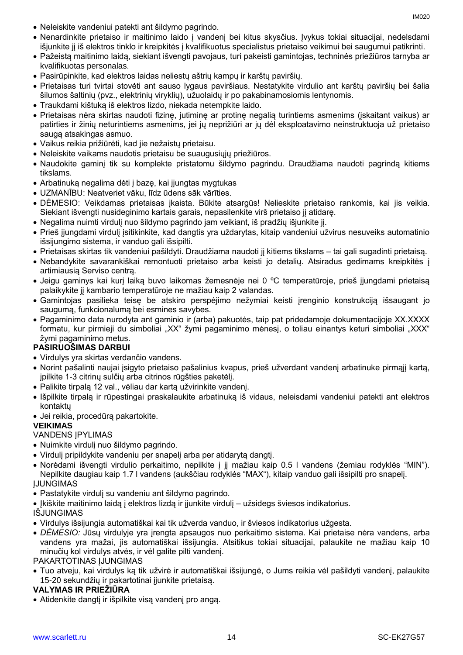- Neleiskite vandeniui patekti ant šildymo pagrindo.
- Nenardinkite prietaiso ir maitinimo laido į vandenį bei kitus skysčius. Įvykus tokiai situacijai, nedelsdami išjunkite jį iš elektros tinklo ir kreipkitės į kvalifikuotus specialistus prietaiso veikimui bei saugumui patikrinti.
- Pažeistą maitinimo laidą, siekiant išvengti pavojaus, turi pakeisti gamintojas, techninės priežiūros tarnyba ar kvalifikuotas personalas.
- Pasirūpinkite, kad elektros laidas neliestų aštrių kampų ir karštų paviršių.
- Prietaisas turi tvirtai stovėti ant sauso lygaus paviršiaus. Nestatykite virdulio ant karštų paviršių bei šalia šilumos šaltinių (pvz., elektrinių viryklių), užuolaidų ir po pakabinamosiomis lentynomis.
- Traukdami kištuką iš elektros lizdo, niekada netempkite laido.
- Prietaisas nėra skirtas naudoti fizinę, jutiminę ar protinę negalią turintiems asmenims (įskaitant vaikus) ar patirties ir žinių neturintiems asmenims, jei jų neprižiūri ar jų dėl eksploatavimo neinstruktuoja už prietaiso saugą atsakingas asmuo.
- Vaikus reikia prižiūrėti, kad jie nežaistų prietaisu.
- Neleiskite vaikams naudotis prietaisu be suaugusiųjų priežiūros.
- Naudokite gaminį tik su komplekte pristatomu šildymo pagrindu. Draudžiama naudoti pagrindą kitiems tikslams.
- Arbatinuką negalima dėti į bazę, kai įjungtas mygtukas
- UZMANĪBU: Neatveriet vāku, līdz ūdens sāk vārīties.
- DĖMESIO: Veikdamas prietaisas įkaista. Būkite atsargūs! Nelieskite prietaiso rankomis, kai jis veikia. Siekiant išvengti nusideginimo kartais garais, nepasilenkite virš prietaiso jį atidarę.
- Negalima nuimti virdulį nuo šildymo pagrindo jam veikiant, iš pradžių išjunkite jį.
- Prieš įjungdami virdulį įsitikinkite, kad dangtis yra uždarytas, kitaip vandeniui užvirus nesuveiks automatinio išsijungimo sistema, ir vanduo gali išsipilti.
- Prietaisas skirtas tik vandeniui pašildyti. Draudžiama naudoti jį kitiems tikslams tai gali sugadinti prietaisą.
- Nebandykite savarankiškai remontuoti prietaiso arba keisti jo detalių. Atsiradus gedimams kreipkitės į artimiausią Serviso centrą.
- Jeigu gaminys kai kurį laiką buvo laikomas žemesnėje nei 0 °C temperatūroje, prieš įjungdami prietaisą palaikykite jį kambario temperatūroje ne mažiau kaip 2 valandas.
- Gamintojas pasilieka teisę be atskiro perspėjimo nežymiai keisti įrenginio konstrukciją išsaugant jo saugumą, funkcionalumą bei esmines savybes.
- Pagaminimo data nurodyta ant gaminio ir (arba) pakuotės, taip pat pridedamoje dokumentacijoje XX.XXXX formatu, kur pirmieji du simboliai "XX" žymi pagaminimo mėnesį, o toliau einantys keturi simboliai "XXX" žymi pagaminimo metus.

# **PASIRUOŠIMAS DARBUI**

- Virdulys yra skirtas verdančio vandens.
- Norint pašalinti naujai įsigyto prietaiso pašalinius kvapus, prieš užverdant vandenį arbatinuke pirmąjį kartą, įpilkite 1-3 citrinų sulčių arba citrinos rūgšties paketėlį.
- Palikite tirpalą 12 val., vėliau dar kartą užvirinkite vandenį.
- Išpilkite tirpalą ir rūpestingai praskalaukite arbatinuką iš vidaus, neleisdami vandeniui patekti ant elektros kontaktų
- Jei reikia, procedūrą pakartokite.

# **VEIKIMAS**

# VANDENS ĮPYLIMAS

- Nuimkite virdulį nuo šildymo pagrindo.
- Virdulį pripildykite vandeniu per snapelį arba per atidarytą dangtį.
- Norėdami išvengti virdulio perkaitimo, nepilkite į jį mažiau kaip 0.5 l vandens (žemiau rodyklės "MIN"). Nepilkite daugiau kaip 1.7 l vandens (aukščiau rodyklės "MAX"), kitaip vanduo gali išsipilti pro snapelį. ĮJUNGIMAS
- Pastatykite virdulį su vandeniu ant šildymo pagrindo.
- Ikiškite maitinimo laidą į elektros lizdą ir įjunkite virdulį užsidegs šviesos indikatorius. IŠJUNGIMAS
- Virdulys išsijungia automatiškai kai tik užverda vanduo, ir šviesos indikatorius užgesta.
- *DĖMESIO:* Jūsų virdulyje yra įrengta apsaugos nuo perkaitimo sistema. Kai prietaise nėra vandens, arba vandens yra mažai, jis automatiškai išsijungia. Atsitikus tokiai situacijai, palaukite ne mažiau kaip 10 minučių kol virdulys atvės, ir vėl galite pilti vandenį.

# PAKARTOTINAS ĮJUNGIMAS

 Tuo atveju, kai virdulys ką tik užvirė ir automatiškai išsijungė, o Jums reikia vėl pašildyti vandenį, palaukite 15-20 sekundžių ir pakartotinai įjunkite prietaisą.

# **VALYMAS IR PRIEŽIŪRA**

Atidenkite dangtį ir išpilkite visą vandenį pro angą.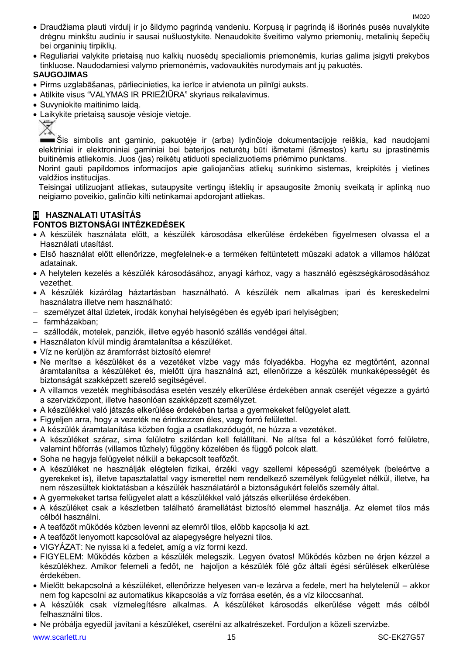- Draudžiama plauti virdulį ir jo šildymo pagrindą vandeniu. Korpusą ir pagrindą iš išorinės pusės nuvalykite drėgnu minkštu audiniu ir sausai nušluostykite. Nenaudokite šveitimo valymo priemonių, metalinių šepečių bei organinių tirpiklių.
- Reguliariai valykite prietaisą nuo kalkių nuosėdų specialiomis priemonėmis, kurias galima įsigyti prekybos tinkluose. Naudodamiesi valymo priemonėmis, vadovaukitės nurodymais ant jų pakuotės.

#### **SAUGOJIMAS**

- Pirms uzglabāšanas, pārliecinieties, ka ierīce ir atvienota un pilnīgi auksts.
- Atilkite visus "VALYMAS IR PRIEŽIŪRA" skyriaus reikalavimus.
- Suvyniokite maitinimo laidą.
- Laikykite prietaisą sausoje vėsioje vietoje.



Šis simbolis ant gaminio, pakuotėje ir (arba) lydinčioje dokumentacijoje reiškia, kad naudojami elektriniai ir elektroniniai gaminiai bei baterijos neturėtų būti išmetami (išmestos) kartu su įprastinėmis buitinėmis atliekomis. Juos (jas) reikėtų atiduoti specializuotiems priėmimo punktams.

Norint gauti papildomos informacijos apie galiojančias atliekų surinkimo sistemas, kreipkitės į vietines valdžios institucijas.

Teisingai utilizuojant atliekas, sutaupysite vertingų išteklių ir apsaugosite žmonių sveikatą ir aplinką nuo neigiamo poveikio, galinčio kilti netinkamai apdorojant atliekas.

#### **H HASZNALATI UTASÍTÁS FONTOS BIZTONSÁGI INTÉZKEDÉSEK**

- A készülék használata előtt, a készülék károsodása elkerülése érdekében figyelmesen olvassa el a Használati utasítást.
- Első használat előtt ellenőrizze, megfelelnek-e a terméken feltüntetett műszaki adatok a villamos hálózat adatainak.
- A helytelen kezelés a készülék károsodásához, anyagi kárhoz, vagy a használó egészségkárosodásához vezethet.
- A készülék kizárólag háztartásban használható. A készülék nem alkalmas ipari és kereskedelmi használatra illetve nem használható:
- személyzet által üzletek, irodák konyhai helyiségében és egyéb ipari helyiségben;
- farmházakban;
- szállodák, motelek, panziók, illetve egyéb hasonló szállás vendégei által.
- Használaton kívül mindig áramtalanítsa a készüléket.
- Víz ne kerüljön az áramforrást biztosító elemre!
- Ne merítse a készüléket és a vezetéket vízbe vagy más folyadékba. Hogyha ez megtörtént, azonnal áramtalanítsa a készüléket és, mielőtt újra használná azt, ellenőrizze a készülék munkaképességét és biztonságát szakképzett szerelő segítségével.
- A villamos vezeték meghibásodása esetén veszély elkerülése érdekében annak cseréjét végezze a gyártó a szervizközpont, illetve hasonlóan szakképzett személyzet.
- A készülékkel való játszás elkerülése érdekében tartsa a gyermekeket felügyelet alatt.
- Figyeljen arra, hogy a vezeték ne érintkezzen éles, vagy forró felülettel.
- A készülék áramtalanítása közben fogja a csatlakozódugót, ne húzza a vezetéket.
- A készüléket száraz, sima felületre szilárdan kell felállítani. Ne alítsa fel a készüléket forró felületre, valamint hőforrás (villamos tűzhely) függöny közelében és függő polcok alatt.
- Soha ne hagyja felügyelet nélkül a bekapcsolt teafőzőt.
- A készüléket ne használják elégtelen fizikai, érzéki vagy szellemi képességű személyek (beleértve a gyerekeket is), illetve tapasztalattal vagy ismerettel nem rendelkező személyek felügyelet nélkül, illetve, ha nem részesültek kioktatásban a készülék használatáról a biztonságukért felelős személy által.
- A gyermekeket tartsa felügyelet alatt a készülékkel való játszás elkerülése érdekében.
- A készüléket csak a készletben található áramellátást biztosító elemmel használja. Az elemet tilos más célból használni.
- A teafőzőt működés közben levenni az elemről tilos, előbb kapcsolja ki azt.
- A teafőzőt lenyomott kapcsolóval az alapegységre helyezni tilos.
- VIGYÁZAT: Ne nyissa ki a fedelet, amíg a víz forrni kezd.
- FIGYELEM: Működés közben a készülék melegszik. Legyen óvatos! Működés közben ne érjen kézzel a készülékhez. Amikor felemeli a fedőt, ne hajoljon a készülék fölé gőz általi égési sérülések elkerülése érdekében.
- Mielőtt bekapcsolná a készüléket, ellenőrizze helyesen van-e lezárva a fedele, mert ha helytelenül akkor nem fog kapcsolni az automatikus kikapcsolás a víz forrása esetén, és a víz kiloccsanhat.
- A készülék csak vízmelegítésre alkalmas. A készüléket károsodás elkerülése végett más célból felhasználni tilos.
- Ne próbálja egyedül javítani a készüléket, cserélni az alkatrészeket. Forduljon a közeli szervizbe.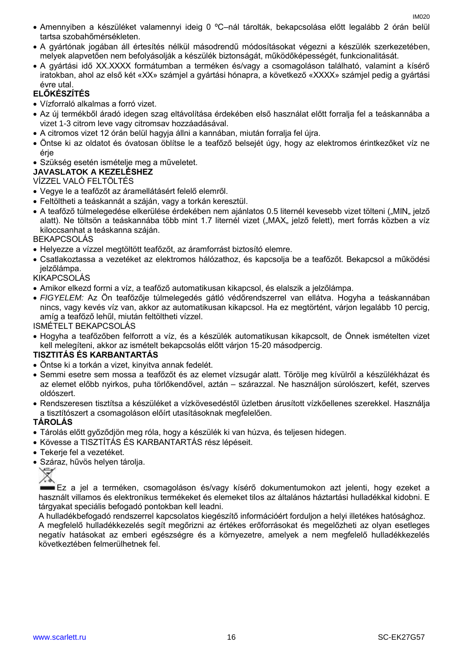- Amennyiben a készüléket valamennyi ideig 0 ºC–nál tárolták, bekapcsolása előtt legalább 2 órán belül tartsa szobahőmérsékleten.
- A gyártónak jogában áll értesítés nélkül másodrendű módosításokat végezni a készülék szerkezetében, melyek alapvetően nem befolyásolják a készülék biztonságát, működőképességét, funkcionalitását.
- A gyártási idő XX.XXXX formátumban a terméken és/vagy a csomagoláson található, valamint a kísérő iratokban, ahol az első két «XX» számjel a gyártási hónapra, a következő «XXXX» számjel pedig a gyártási évre utal.

# **ELŐKÉSZÍTÉS**

- Vízforraló alkalmas a forró vizet.
- Az új termékből áradó idegen szag eltávolítása érdekében első használat előtt forralja fel a teáskannába a vizet 1-3 citrom leve vagy citromsav hozzáadásával.
- A citromos vizet 12 órán belül hagyja állni a kannában, miután forralja fel újra.
- Öntse ki az oldatot és óvatosan öblítse le a teafőző belsejét úgy, hogy az elektromos érintkezőket víz ne érje
- Szükség esetén ismételje meg a műveletet.

# **JAVASLATOK A KEZELÉSHEZ**

# VÍZZEL VALÓ FELTÖLTÉS

- Vegye le a teafőzőt az áramellátásért felelő elemről.
- Feltöltheti a teáskannát a száján, vagy a torkán keresztül.
- A teafőző túlmelegedése elkerülése érdekében nem ajánlatos 0.5 liternél kevesebb vizet tölteni ("MIN" jelző alatt). Ne töltsön a teáskannába több mint 1.7 liternél vizet ("MAX" jelző felett), mert forrás közben a víz kiloccsanhat a teáskanna száján.

# BEKAPCSOLÁS

- Helyezze a vízzel megtöltött teafőzőt, az áramforrást biztosító elemre.
- Csatlakoztassa a vezetéket az elektromos hálózathoz, és kapcsolja be a teafőzőt. Bekapcsol a működési jelzőlámpa.

# KIKAPCSOLÁS

- Amikor elkezd forrni a víz, a teafőző automatikusan kikapcsol, és elalszik a jelzőlámpa.
- *FIGYELEM:* Az Ön teafőzője túlmelegedés gátló védőrendszerrel van ellátva. Hogyha a teáskannában nincs, vagy kevés víz van, akkor az automatikusan kikapcsol. Ha ez megtörtént, várjon legalább 10 percig, amíg a teafőző lehűl, miután feltöltheti vízzel.

ISMÉTELT BEKAPCSOLÁS

 Hogyha a teafőzőben felforrott a víz, és a készülék automatikusan kikapcsolt, de Önnek ismételten vizet kell melegíteni, akkor az ismételt bekapcsolás előtt várjon 15-20 másodpercig.

# **TISZTITÁS ÉS KARBANTARTÁS**

- Öntse ki a torkán a vizet, kinyitva annak fedelét.
- Semmi esetre sem mossa a teafőzőt és az elemet vízsugár alatt. Törölje meg kívülről a készülékházat és az elemet előbb nyirkos, puha törlőkendővel, aztán – szárazzal. Ne használjon súrolószert, kefét, szerves oldószert.
- Rendszeresen tisztítsa a készüléket a vízkövesedéstől üzletben árusított vízkőellenes szerekkel. Használja a tisztítószert a csomagoláson előírt utasításoknak megfelelően.

# **TÁROLÁS**

- Tárolás előtt győződjön meg róla, hogy a készülék ki van húzva, és teljesen hidegen.
- Kövesse a TISZTÍTÁS ÉS KARBANTARTÁS rész lépéseit.
- Tekerje fel a vezetéket.
- Száraz, hűvös helyen tárolja.



Ez a jel a terméken, csomagoláson és/vagy kísérő dokumentumokon azt jelenti, hogy ezeket a használt villamos és elektronikus termékeket és elemeket tilos az általános háztartási hulladékkal kidobni. E tárgyakat speciális befogadó pontokban kell leadni.

A hulladékbefogadó rendszerrel kapcsolatos kiegészítő információért forduljon a helyi illetékes hatósághoz. A megfelelő hulladékkezelés segít megőrizni az értékes erőforrásokat és megelőzheti az olyan esetleges negatív hatásokat az emberi egészségre és a környezetre, amelyek a nem megfelelő hulladékkezelés következtében felmerülhetnek fel.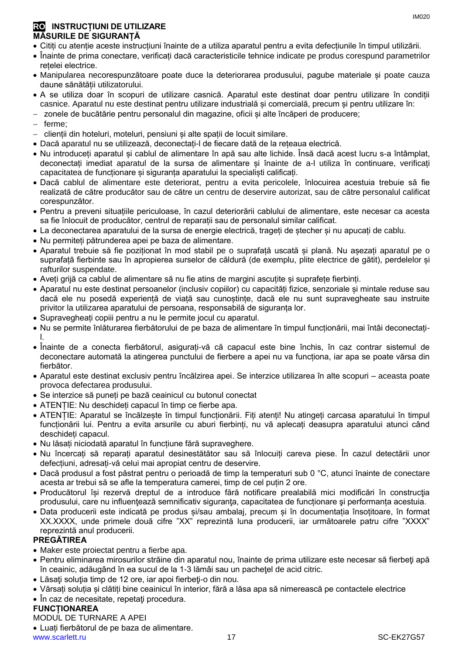- Citiți cu atenție aceste instrucțiuni înainte de a utiliza aparatul pentru a evita defecțiunile în timpul utilizării.
- Înainte de prima conectare, verificați dacă caracteristicile tehnice indicate pe produs corespund parametrilor retelei electrice.
- Manipularea necorespunzătoare poate duce la deteriorarea produsului, pagube materiale și poate cauza daune sănătății utilizatorului.
- A se utiliza doar în scopuri de utilizare casnică. Aparatul este destinat doar pentru utilizare în condiții casnice. Aparatul nu este destinat pentru utilizare industrială și comercială, precum și pentru utilizare în:
- zonele de bucătărie pentru personalul din magazine, oficii și alte încăperi de producere;
- $-$  ferme;
- clienții din hoteluri, moteluri, pensiuni și alte spații de locuit similare.
- Dacă aparatul nu se utilizează, deconectați-l de fiecare dată de la rețeaua electrică.
- Nu introduceți aparatul și cablul de alimentare în apă sau alte lichide. Însă dacă acest lucru s-a întâmplat, deconectați imediat aparatul de la sursa de alimentare și înainte de a-l utiliza în continuare, verificați capacitatea de funcționare și siguranța aparatului la specialiști calificați.
- Dacă cablul de alimentare este deteriorat, pentru a evita pericolele, înlocuirea acestuia trebuie să fie realizată de către producător sau de către un centru de deservire autorizat, sau de către personalul calificat corespunzător.
- Pentru a preveni situațiile periculoase, în cazul deteriorării cablului de alimentare, este necesar ca acesta sa fie înlocuit de producător, centrul de reparații sau de personalul similar calificat.
- La deconectarea aparatului de la sursa de energie electrică, trageți de ștecher și nu apucați de cablu.
- Nu permiteți pătrunderea apei pe baza de alimentare.
- Aparatul trebuie să fie poziționat în mod stabil pe o suprafață uscată și plană. Nu așezați aparatul pe o suprafață fierbinte sau în apropierea surselor de căldură (de exemplu, plite electrice de gătit), perdelelor și rafturilor suspendate.
- Aveți grijă ca cablul de alimentare să nu fie atins de margini ascuțite și suprafețe fierbinți.
- Aparatul nu este destinat persoanelor (inclusiv copiilor) cu capacități fizice, senzoriale și mintale reduse sau dacă ele nu posedă experiență de viață sau cunoștințe, dacă ele nu sunt supravegheate sau instruite privitor la utilizarea aparatului de persoana, responsabilă de siguranța lor.
- Supravegheați copiii pentru a nu le permite jocul cu aparatul.
- Nu se permite înlăturarea fierbătorului de pe baza de alimentare în timpul funcționării, mai întâi deconectațil.
- Înainte de a conecta fierbătorul, asigurați-vă că capacul este bine închis, în caz contrar sistemul de deconectare automată la atingerea punctului de fierbere a apei nu va funcționa, iar apa se poate vărsa din fierbător.
- Aparatul este destinat exclusiv pentru încălzirea apei. Se interzice utilizarea în alte scopuri aceasta poate provoca defectarea produsului.
- Se interzice să puneți pe bază ceainicul cu butonul conectat
- ATENȚIE: Nu deschideți capacul în timp ce fierbe apa.
- ATENȚIE: Aparatul se încălzește în timpul funcționării. Fiți atenți! Nu atingeți carcasa aparatului în timpul funcționării lui. Pentru a evita arsurile cu aburi fierbinți, nu vă aplecați deasupra aparatului atunci când deschideți capacul.
- Nu lăsați niciodată aparatul în funcțiune fără supraveghere.
- Nu încercați să reparați aparatul desinestătător sau să înlocuiți careva piese. În cazul detectării unor defecțiuni, adresați-vă celui mai apropiat centru de deservire.
- Dacă produsul a fost păstrat pentru o perioadă de timp la temperaturi sub 0 °C, atunci înainte de conectare acesta ar trebui să se afle la temperatura camerei, timp de cel puțin 2 ore.
- Producătorul își rezervă dreptul de a introduce fără notificare prealabilă mici modificări în construcţia produsului, care nu influențează semnificativ siguranța, capacitatea de funcționare și performanța acestuia.
- Data producerii este indicată pe produs și/sau ambalaj, precum și în documentația însoțitoare, în format XX.XXXX, unde primele două cifre "XX" reprezintă luna producerii, iar următoarele patru cifre "XXXX" reprezintă anul producerii.

# **PREGĂTIREA**

- Maker este proiectat pentru a fierbe apa.
- Pentru eliminarea mirosurilor străine din aparatul nou, înainte de prima utilizare este necesar să fierbeti apă în ceainic, adăugând în ea sucul de la 1-3 lămâi sau un pacheţel de acid citric.
- Lăsaţi soluţia timp de 12 ore, iar apoi fierbeţi-o din nou.
- Vărsați soluția și clătiți bine ceainicul în interior, fără a lăsa apa să nimerească pe contactele electrice
- În caz de necesitate, repetaţi procedura.

# **FUNCȚIONAREA**

MODUL DE TURNARE A APEI

Luați fierbătorul de pe baza de alimentare.

www.scarlett.ru 17 SC-EK27G57

IM020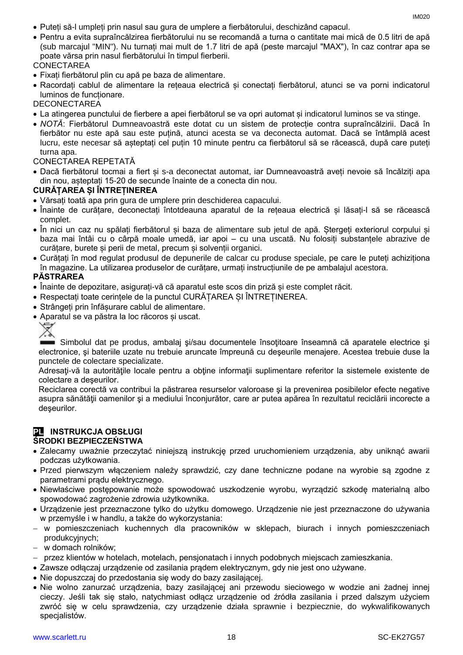- Puteți să-l umpleți prin nasul sau gura de umplere a fierbătorului, deschizând capacul.
- Pentru a evita supraîncălzirea fierbătorului nu se recomandă a turna o cantitate mai mică de 0.5 litri de apă (sub marcajul "MIN"). Nu turnați mai mult de 1.7 litri de apă (peste marcajul "MAX"), în caz contrar apa se poate vărsa prin nasul fierbătorului în timpul fierberii.

#### **CONECTAREA**

- Fixați fierbătorul plin cu apă pe baza de alimentare.
- Racordați cablul de alimentare la rețeaua electrică și conectați fierbătorul, atunci se va porni indicatorul luminos de funcționare.

#### **DECONECTAREA**

- La atingerea punctului de fierbere a apei fierbătorul se va opri automat și indicatorul luminos se va stinge.
- *NOTĂ*: Fierbătorul Dumneavoastră este dotat cu un sistem de protecție contra supraîncălzirii. Dacă în fierbător nu este apă sau este puțină, atunci acesta se va deconecta automat. Dacă se întâmplă acest lucru, este necesar să așteptați cel puțin 10 minute pentru ca fierbătorul să se răcească, după care puteți turna apa.

#### CONECTAREA REPETATĂ

 Dacă fierbătorul tocmai a fiert și s-a deconectat automat, iar Dumneavoastră aveți nevoie să încălziți apa din nou, așteptați 15-20 de secunde înainte de a conecta din nou.

#### **CURĂȚAREA ȘI ÎNTREȚINEREA**

- Vărsați toată apa prin gura de umplere prin deschiderea capacului.
- Înainte de curățare, deconectați întotdeauna aparatul de la rețeaua electrică și lăsați-l să se răcească complet.
- În nici un caz nu spălați fierbătorul și baza de alimentare sub jetul de apă. Ștergeți exteriorul corpului și baza mai întâi cu o cârpă moale umedă, iar apoi – cu una uscată. Nu folosiți substanțele abrazive de curățare, burete și perii de metal, precum și solvenții organici.
- Curățați în mod regulat produsul de depunerile de calcar cu produse speciale, pe care le puteți achiziționa în magazine. La utilizarea produselor de curățare, urmați instrucțiunile de pe ambalajul acestora.

#### **PĂSTRAREA**

- Înainte de depozitare, asigurați-vă că aparatul este scos din priză și este complet răcit.
- Respectați toate cerințele de la punctul CURĂȚAREA ȘI ÎNTREȚINEREA.
- Strângeți prin înfășurare cablul de alimentare.
- Aparatul se va păstra la loc răcoros și uscat.

Simbolul dat pe produs, ambalaj și/sau documentele însoțitoare înseamnă că aparatele electrice și electronice, şi bateriile uzate nu trebuie aruncate împreună cu deşeurile menajere. Acestea trebuie duse la punctele de colectare specializate.

Adresati-vă la autoritățile locale pentru a obține informații suplimentare referitor la sistemele existente de colectare a deşeurilor.

Reciclarea corectă va contribui la păstrarea resurselor valoroase şi la prevenirea posibilelor efecte negative asupra sănătăţii oamenilor şi a mediului înconjurător, care ar putea apărea în rezultatul reciclării incorecte a deşeurilor.

#### **PL INSTRUKCJA OBSŁUGI ŚRODKI BEZPIECZEŃSTWA**

- Zalecamy uważnie przeczytać niniejszą instrukcję przed uruchomieniem urządzenia, aby uniknąć awarii podczas użytkowania.
- Przed pierwszym włączeniem należy sprawdzić, czy dane techniczne podane na wyrobie są zgodne z parametrami prądu elektrycznego.
- Niewłaściwe postępowanie może spowodować uszkodzenie wyrobu, wyrządzić szkodę materialną albo spowodować zagrożenie zdrowia użytkownika.
- Urządzenie jest przeznaczone tylko do użytku domowego. Urządzenie nie jest przeznaczone do używania w przemyśle i w handlu, a także do wykorzystania:
- w pomieszczeniach kuchennych dla pracowników w sklepach, biurach i innych pomieszczeniach produkcyjnych;
- w domach rolników;
- przez klientów w hotelach, motelach, pensjonatach i innych podobnych miejscach zamieszkania.
- Zawsze odłączaj urządzenie od zasilania prądem elektrycznym, gdy nie jest ono używane.
- Nie dopuszczaj do przedostania się wody do bazy zasilającej.
- Nie wolno zanurzać urządzenia, bazy zasilającej ani przewodu sieciowego w wodzie ani żadnej innej cieczy. Jeśli tak się stało, natychmiast odłącz urządzenie od źródła zasilania i przed dalszym użyciem zwróć się w celu sprawdzenia, czy urządzenie działa sprawnie i bezpiecznie, do wykwalifikowanych specjalistów.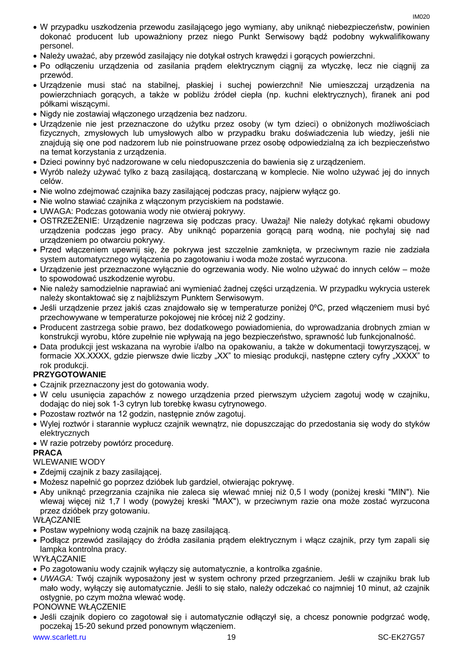- W przypadku uszkodzenia przewodu zasilającego jego wymiany, aby uniknąć niebezpieczeństw, powinien dokonać producent lub upoważniony przez niego Punkt Serwisowy bądź podobny wykwalifikowany personel.
- Należy uważać, aby przewód zasilający nie dotykał ostrych krawędzi i gorących powierzchni.
- Po odłaczeniu urządzenia od zasilania prądem elektrycznym ciągnii za wtyczke, lecz nie ciągnii za przewód.
- Urządzenie musi stać na stabilnej, płaskiej i suchej powierzchni! Nie umieszczaj urządzenia na powierzchniach gorących, a także w pobliżu źródeł ciepła (np. kuchni elektrycznych), firanek ani pod półkami wiszącymi.
- Nigdy nie zostawiaj włączonego urządzenia bez nadzoru.
- Urządzenie nie jest przeznaczone do użytku przez osoby (w tym dzieci) o obniżonych możliwościach fizycznych, zmysłowych lub umysłowych albo w przypadku braku doświadczenia lub wiedzy, jeśli nie znajdują się one pod nadzorem lub nie poinstruowane przez osobę odpowiedzialną za ich bezpieczeństwo na temat korzystania z urządzenia.
- Dzieci powinny być nadzorowane w celu niedopuszczenia do bawienia się z urządzeniem.
- Wyrób należy używać tylko z bazą zasilającą, dostarczaną w komplecie. Nie wolno używać jej do innych celów.
- Nie wolno zdejmować czajnika bazy zasilającej podczas pracy, najpierw wyłącz go.
- Nie wolno stawiać czajnika z włączonym przyciskiem na podstawie.
- UWAGA: Podczas gotowania wody nie otwieraj pokrywy.
- OSTRZEŻENIE: Urządzenie nagrzewa się podczas pracy. Uważaj! Nie należy dotykać rękami obudowy urządzenia podczas jego pracy. Aby uniknąć poparzenia gorącą parą wodną, nie pochylaj się nad urządzeniem po otwarciu pokrywy.
- Przed włączeniem upewnij się, że pokrywa jest szczelnie zamknięta, w przeciwnym razie nie zadziała system automatycznego wyłączenia po zagotowaniu i woda może zostać wyrzucona.
- Urządzenie jest przeznaczone wyłącznie do ogrzewania wody. Nie wolno używać do innych celów może to spowodować uszkodzenie wyrobu.
- Nie należy samodzielnie naprawiać ani wymieniać żadnej części urządzenia. W przypadku wykrycia usterek należy skontaktować się z najbliższym Punktem Serwisowym.
- Jeśli urządzenie przez jakiś czas znajdowało się w temperaturze poniżej 0ºC, przed włączeniem musi być przechowywane w temperaturze pokojowej nie krócej niż 2 godziny.
- Producent zastrzega sobie prawo, bez dodatkowego powiadomienia, do wprowadzania drobnych zmian w konstrukcji wyrobu, które zupełnie nie wpływają na jego bezpieczeństwo, sprawność lub funkcjonalność.
- Data produkcji jest wskazana na wyrobie i/albo na opakowaniu, a także w dokumentacji towyrzyszącej, w formacie XX.XXXX, gdzie pierwsze dwie liczby "XX" to miesiąc produkcji, następne cztery cyfry "XXXX" to rok produkcji.

# **PRZYGOTOWANIE**

- Czajnik przeznaczony jest do gotowania wody.
- W celu usunięcia zapachów z nowego urządzenia przed pierwszym użyciem zagotuj wodę w czajniku, dodając do niej sok 1-3 cytryn lub torebkę kwasu cytrynowego.
- Pozostaw roztwór na 12 godzin, następnie znów zagotuj.
- Wylej roztwór i starannie wypłucz czajnik wewnątrz, nie dopuszczając do przedostania się wody do styków elektrycznych
- W razie potrzeby powtórz procedurę.

# **PRACA**

# WLEWANIE WODY

- Zdejmij czajnik z bazy zasilającej.
- Możesz napełnić go poprzez dzióbek lub gardziel, otwierając pokrywę.
- Aby uniknąć przegrzania czajnika nie zaleca się wlewać mniej niż 0,5 l wody (poniżej kreski "MIN"). Nie wlewaj więcej niż 1,7 l wody (powyżej kreski "MAX"), w przeciwnym razie ona może zostać wyrzucona przez dzióbek przy gotowaniu.

# **WŁĄCZANIE**

- Postaw wypełniony wodą czajnik na bazę zasilającą.
- Podłącz przewód zasilający do źródła zasilania prądem elektrycznym i włącz czajnik, przy tym zapali się lampka kontrolna pracy.

**WYŁACZANIE** 

- Po zagotowaniu wody czajnik wyłączy się automatycznie, a kontrolka zgaśnie.
- *UWAGA:* Twój czajnik wyposażony jest w system ochrony przed przegrzaniem. Jeśli w czajniku brak lub mało wody, wyłączy się automatycznie. Jeśli to się stało, należy odczekać co najmniej 10 minut, aż czajnik ostygnie, po czym można wlewać wodę.

# PONOWNE WŁĄCZENIE

 Jeśli czajnik dopiero co zagotował się i automatycznie odłączył się, a chcesz ponownie podgrzać wodę, poczekaj 15-20 sekund przed ponownym włączeniem.